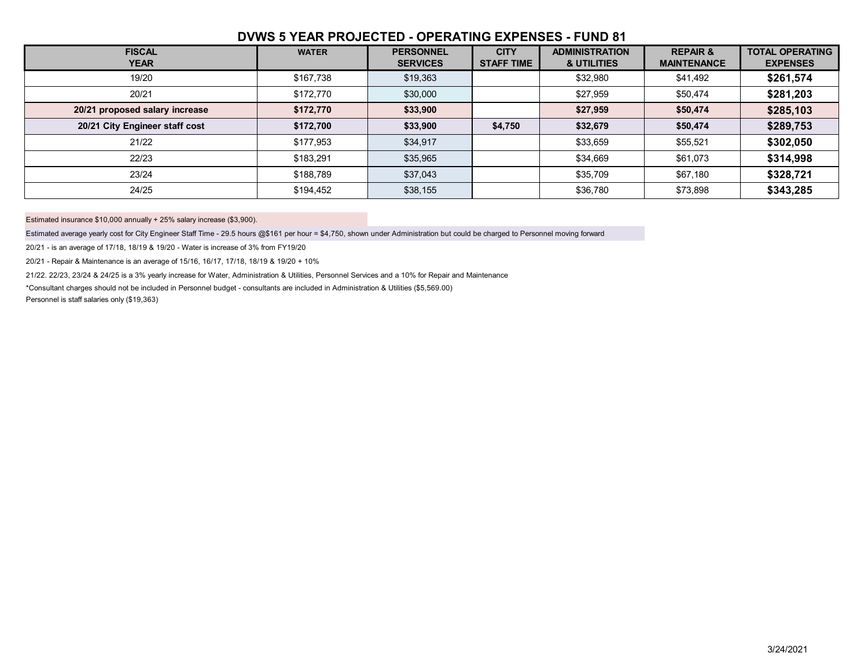## **DVWS 5 YEAR PROJECTED - OPERATING EXPENSES - FUND 81**

| <b>FISCAL</b><br><b>YEAR</b>   | <b>WATER</b> | <b>PERSONNEL</b><br><b>SERVICES</b> | <b>CITY</b><br><b>STAFF TIME</b> | <b>ADMINISTRATION</b><br>& UTILITIES | <b>REPAIR &amp;</b><br><b>MAINTENANCE</b> | <b>TOTAL OPERATING</b><br><b>EXPENSES</b> |
|--------------------------------|--------------|-------------------------------------|----------------------------------|--------------------------------------|-------------------------------------------|-------------------------------------------|
| 19/20                          | \$167,738    | \$19,363                            |                                  | \$32,980                             | \$41,492                                  | \$261,574                                 |
| 20/21                          | \$172,770    | \$30,000                            |                                  | \$27,959                             | \$50,474                                  | \$281,203                                 |
| 20/21 proposed salary increase | \$172,770    | \$33,900                            |                                  | \$27,959                             | \$50,474                                  | \$285,103                                 |
| 20/21 City Engineer staff cost | \$172,700    | \$33,900                            | \$4,750                          | \$32,679                             | \$50,474                                  | \$289,753                                 |
| 21/22                          | \$177,953    | \$34,917                            |                                  | \$33,659                             | \$55,521                                  | \$302,050                                 |
| 22/23                          | \$183,291    | \$35,965                            |                                  | \$34,669                             | \$61,073                                  | \$314,998                                 |
| 23/24                          | \$188,789    | \$37,043                            |                                  | \$35,709                             | \$67,180                                  | \$328,721                                 |
| 24/25                          | \$194,452    | \$38,155                            |                                  | \$36,780                             | \$73,898                                  | \$343,285                                 |

Estimated insurance \$10,000 annually + 25% salary increase (\$3,900).

Estimated average yearly cost for City Engineer Staff Time - 29.5 hours @\$161 per hour = \$4,750, shown under Administration but could be charged to Personnel moving forward

20/21 - is an average of 17/18, 18/19 & 19/20 - Water is increase of 3% from FY19/20

20/21 - Repair & Maintenance is an average of 15/16, 16/17, 17/18, 18/19 & 19/20 + 10%

21/22. 22/23, 23/24 & 24/25 is a 3% yearly increase for Water, Administration & Utilities, Personnel Services and a 10% for Repair and Maintenance

\*Consultant charges should not be included in Personnel budget - consultants are included in Administration & Utilities (\$5,569.00)

Personnel is staff salaries only (\$19,363)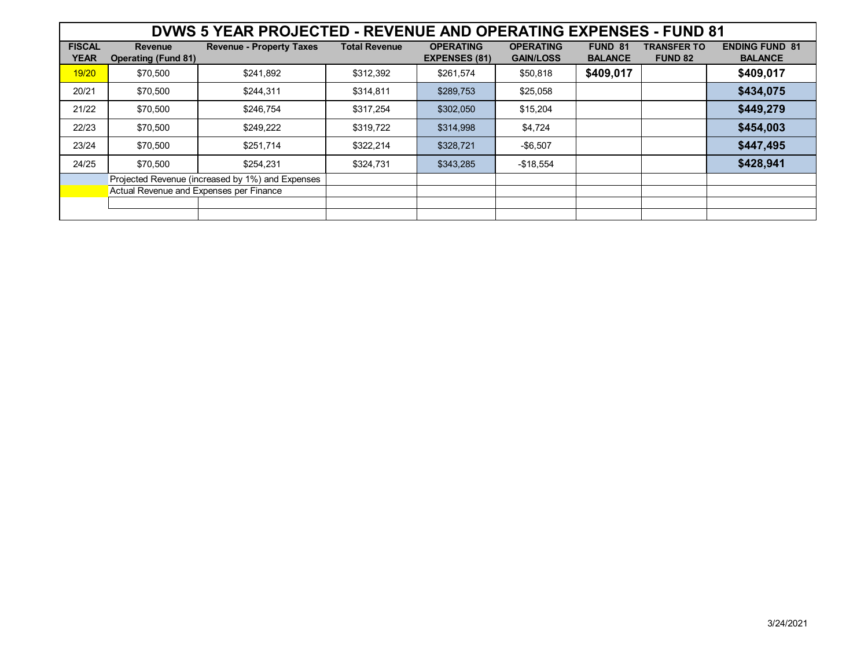| DVWS 5 YEAR PROJECTED - REVENUE AND OPERATING EXPENSES - FUND 81 |                                              |                                 |                      |                                          |                                      |                           |                                      |                                         |
|------------------------------------------------------------------|----------------------------------------------|---------------------------------|----------------------|------------------------------------------|--------------------------------------|---------------------------|--------------------------------------|-----------------------------------------|
| <b>FISCAL</b><br><b>YEAR</b>                                     | <b>Revenue</b><br><b>Operating (Fund 81)</b> | <b>Revenue - Property Taxes</b> | <b>Total Revenue</b> | <b>OPERATING</b><br><b>EXPENSES (81)</b> | <b>OPERATING</b><br><b>GAIN/LOSS</b> | FUND 81<br><b>BALANCE</b> | <b>TRANSFER TO</b><br><b>FUND 82</b> | <b>ENDING FUND 81</b><br><b>BALANCE</b> |
| 19/20                                                            | \$70,500                                     | \$241,892                       | \$312,392            | \$261,574                                | \$50,818                             | \$409,017                 |                                      | \$409,017                               |
| 20/21                                                            | \$70,500                                     | \$244,311                       | \$314,811            | \$289,753                                | \$25,058                             |                           |                                      | \$434,075                               |
| 21/22                                                            | \$70,500                                     | \$246,754                       | \$317,254            | \$302,050                                | \$15,204                             |                           |                                      | \$449,279                               |
| 22/23                                                            | \$70,500                                     | \$249,222                       | \$319,722            | \$314,998                                | \$4,724                              |                           |                                      | \$454,003                               |
| 23/24                                                            | \$70,500                                     | \$251,714                       | \$322,214            | \$328,721                                | $-$6,507$                            |                           |                                      | \$447,495                               |
| 24/25                                                            | \$70,500                                     | \$254.231                       | \$324.731            | \$343,285                                | $-$18,554$                           |                           |                                      | \$428,941                               |
| Projected Revenue (increased by 1%) and Expenses                 |                                              |                                 |                      |                                          |                                      |                           |                                      |                                         |
|                                                                  | Actual Revenue and Expenses per Finance      |                                 |                      |                                          |                                      |                           |                                      |                                         |
|                                                                  |                                              |                                 |                      |                                          |                                      |                           |                                      |                                         |
|                                                                  |                                              |                                 |                      |                                          |                                      |                           |                                      |                                         |